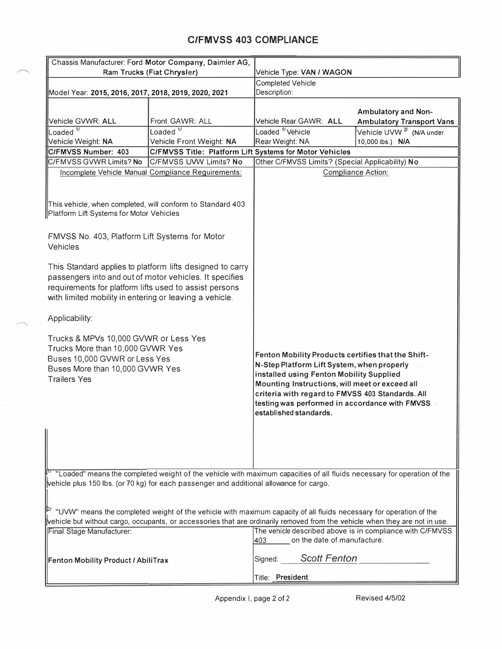## **C/FMVSS 403 COMPLIANCE**

| Chassis Manufacturer: Ford Motor Company, Daimler AG,                                                                                                                                                                                     |                                                      |                                                                                                                                                                                                                                                                                                                                |                                      |  |
|-------------------------------------------------------------------------------------------------------------------------------------------------------------------------------------------------------------------------------------------|------------------------------------------------------|--------------------------------------------------------------------------------------------------------------------------------------------------------------------------------------------------------------------------------------------------------------------------------------------------------------------------------|--------------------------------------|--|
| Ram Trucks (Fiat Chrysler)                                                                                                                                                                                                                |                                                      | Vehicle Type: VAN / WAGON                                                                                                                                                                                                                                                                                                      |                                      |  |
|                                                                                                                                                                                                                                           |                                                      | <b>Completed Vehicle</b><br>Description:                                                                                                                                                                                                                                                                                       |                                      |  |
|                                                                                                                                                                                                                                           | Model Year: 2015, 2016, 2017, 2018, 2019, 2020, 2021 |                                                                                                                                                                                                                                                                                                                                |                                      |  |
|                                                                                                                                                                                                                                           |                                                      |                                                                                                                                                                                                                                                                                                                                |                                      |  |
|                                                                                                                                                                                                                                           |                                                      |                                                                                                                                                                                                                                                                                                                                | <b>Ambulatory and Non-</b>           |  |
| Vehicle GVWR: ALL                                                                                                                                                                                                                         | Front GAWR: ALL                                      | Vehicle Rear GAWR: ALL                                                                                                                                                                                                                                                                                                         | <b>Ambulatory Transport Vans</b>     |  |
| Loaded <sup>1/</sup>                                                                                                                                                                                                                      | Loaded $\overline{11}$                               | Loaded <sup>1</sup> /Vehicle                                                                                                                                                                                                                                                                                                   | Vehicle UVW <sup>2/</sup> (N/A under |  |
| Vehicle Weight: NA                                                                                                                                                                                                                        | Vehicle Front Weight: NA                             | Rear Weight: NA                                                                                                                                                                                                                                                                                                                | 10,000 lbs.) N/A                     |  |
| C/FMVSS Title: Platform Lift Systems for Motor Vehicles<br>C/FMVSS Number: 403                                                                                                                                                            |                                                      |                                                                                                                                                                                                                                                                                                                                |                                      |  |
| C/FMVSS GVWR Limits? No<br>C/FMVSS UVW Limits? No                                                                                                                                                                                         |                                                      | Other C/FMVSS Limits? (Special Applicability) No                                                                                                                                                                                                                                                                               |                                      |  |
| Incomplete Vehicle Manual Compliance Requirements;                                                                                                                                                                                        |                                                      |                                                                                                                                                                                                                                                                                                                                | <b>Compliance Action:</b>            |  |
| This vehicle, when completed, will conform to Standard 403<br>Platform Lift Systems for Motor Vehicles                                                                                                                                    |                                                      |                                                                                                                                                                                                                                                                                                                                |                                      |  |
| FMVSS No. 403, Platform Lift Systems for Motor<br>Vehicles                                                                                                                                                                                |                                                      |                                                                                                                                                                                                                                                                                                                                |                                      |  |
| This Standard applies to platform lifts designed to carry<br>passengers into and out of motor vehicles. It specifies<br>requirements for platform lifts used to assist persons<br>with limited mobility in entering or leaving a vehicle. |                                                      |                                                                                                                                                                                                                                                                                                                                |                                      |  |
| Applicability:                                                                                                                                                                                                                            |                                                      |                                                                                                                                                                                                                                                                                                                                |                                      |  |
| Trucks & MPVs 10,000 GVWR or Less Yes<br>Trucks More than 10,000 GVWR Yes<br>Buses 10,000 GVWR or Less Yes<br>Buses More than 10,000 GVWR Yes<br><b>Trailers Yes</b>                                                                      |                                                      | Fenton Mobility Products certifies that the Shift-<br>N-Step Platform Lift System, when properly<br>installed using Fenton Mobility Supplied<br>Mounting Instructions, will meet or exceed all<br>criteria with regard to FMVSS 403 Standards. All<br>testing was performed in accordance with FMVSS<br>established standards. |                                      |  |
| <sup>17</sup> "Loaded" means the completed weight of the vehicle with maximum capacities of all fluids necessary for operation of the<br>vehicle plus 150 lbs. (or 70 kg) for each passenger and additional allowance for cargo.          |                                                      |                                                                                                                                                                                                                                                                                                                                |                                      |  |
| $\mathbb{P}'$ . "UVW" means the completed weight of the vehicle with maximum capacity of all fluids necessary for operation of the                                                                                                        |                                                      |                                                                                                                                                                                                                                                                                                                                |                                      |  |
| vehicle but without cargo, occupants, or accessories that are ordinarily removed from the vehicle when they are not in use.                                                                                                               |                                                      |                                                                                                                                                                                                                                                                                                                                |                                      |  |
| The vehicle described above is in compliance with C/FMVSS                                                                                                                                                                                 |                                                      |                                                                                                                                                                                                                                                                                                                                |                                      |  |
| Final Stage Manufacturer:                                                                                                                                                                                                                 |                                                      | on the date of manufacture.<br>403                                                                                                                                                                                                                                                                                             |                                      |  |
| Fenton Mobility Product / AbiliTrax                                                                                                                                                                                                       |                                                      | <b>Scott Fenton</b><br>Signed:                                                                                                                                                                                                                                                                                                 |                                      |  |
|                                                                                                                                                                                                                                           |                                                      | Title: President                                                                                                                                                                                                                                                                                                               |                                      |  |